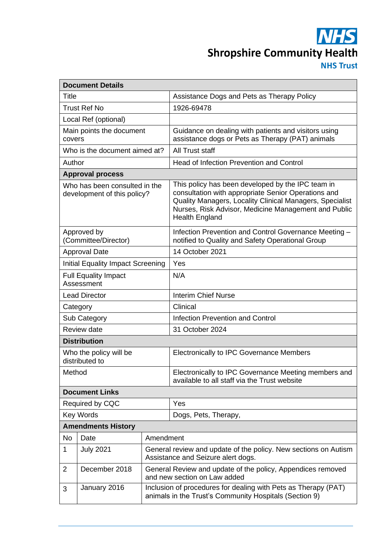**NHS Shropshire Community Health NHS Trust** 

| <b>Document Details</b>                                      |                               |                                                                                                                          |                                                                                                                                                                                                                                                       |  |  |
|--------------------------------------------------------------|-------------------------------|--------------------------------------------------------------------------------------------------------------------------|-------------------------------------------------------------------------------------------------------------------------------------------------------------------------------------------------------------------------------------------------------|--|--|
| Title                                                        |                               |                                                                                                                          | Assistance Dogs and Pets as Therapy Policy                                                                                                                                                                                                            |  |  |
| <b>Trust Ref No</b>                                          |                               |                                                                                                                          | 1926-69478                                                                                                                                                                                                                                            |  |  |
|                                                              | Local Ref (optional)          |                                                                                                                          |                                                                                                                                                                                                                                                       |  |  |
| Main points the document<br>covers                           |                               |                                                                                                                          | Guidance on dealing with patients and visitors using<br>assistance dogs or Pets as Therapy (PAT) animals                                                                                                                                              |  |  |
|                                                              | Who is the document aimed at? |                                                                                                                          | All Trust staff                                                                                                                                                                                                                                       |  |  |
| Author                                                       |                               |                                                                                                                          | <b>Head of Infection Prevention and Control</b>                                                                                                                                                                                                       |  |  |
|                                                              | <b>Approval process</b>       |                                                                                                                          |                                                                                                                                                                                                                                                       |  |  |
| Who has been consulted in the<br>development of this policy? |                               |                                                                                                                          | This policy has been developed by the IPC team in<br>consultation with appropriate Senior Operations and<br>Quality Managers, Locality Clinical Managers, Specialist<br>Nurses, Risk Advisor, Medicine Management and Public<br><b>Health England</b> |  |  |
| Approved by<br>(Committee/Director)                          |                               |                                                                                                                          | Infection Prevention and Control Governance Meeting -<br>notified to Quality and Safety Operational Group                                                                                                                                             |  |  |
| <b>Approval Date</b>                                         |                               |                                                                                                                          | 14 October 2021                                                                                                                                                                                                                                       |  |  |
| <b>Initial Equality Impact Screening</b>                     |                               |                                                                                                                          | Yes                                                                                                                                                                                                                                                   |  |  |
| <b>Full Equality Impact</b><br>Assessment                    |                               |                                                                                                                          | N/A                                                                                                                                                                                                                                                   |  |  |
| <b>Lead Director</b>                                         |                               |                                                                                                                          | <b>Interim Chief Nurse</b>                                                                                                                                                                                                                            |  |  |
| Category                                                     |                               |                                                                                                                          | Clinical                                                                                                                                                                                                                                              |  |  |
| Sub Category                                                 |                               |                                                                                                                          | <b>Infection Prevention and Control</b>                                                                                                                                                                                                               |  |  |
| <b>Review date</b>                                           |                               |                                                                                                                          | 31 October 2024                                                                                                                                                                                                                                       |  |  |
|                                                              | <b>Distribution</b>           |                                                                                                                          |                                                                                                                                                                                                                                                       |  |  |
| Who the policy will be<br>distributed to                     |                               |                                                                                                                          | <b>Electronically to IPC Governance Members</b>                                                                                                                                                                                                       |  |  |
| Method                                                       |                               |                                                                                                                          | Electronically to IPC Governance Meeting members and<br>available to all staff via the Trust website                                                                                                                                                  |  |  |
| <b>Document Links</b>                                        |                               |                                                                                                                          |                                                                                                                                                                                                                                                       |  |  |
|                                                              | Required by CQC               |                                                                                                                          | Yes                                                                                                                                                                                                                                                   |  |  |
| Key Words                                                    |                               |                                                                                                                          | Dogs, Pets, Therapy,                                                                                                                                                                                                                                  |  |  |
| <b>Amendments History</b>                                    |                               |                                                                                                                          |                                                                                                                                                                                                                                                       |  |  |
| No                                                           | Date                          | Amendment                                                                                                                |                                                                                                                                                                                                                                                       |  |  |
| 1                                                            | <b>July 2021</b>              | General review and update of the policy. New sections on Autism<br>Assistance and Seizure alert dogs.                    |                                                                                                                                                                                                                                                       |  |  |
| $\overline{2}$                                               | December 2018                 | General Review and update of the policy, Appendices removed<br>and new section on Law added                              |                                                                                                                                                                                                                                                       |  |  |
| 3                                                            | January 2016                  | Inclusion of procedures for dealing with Pets as Therapy (PAT)<br>animals in the Trust's Community Hospitals (Section 9) |                                                                                                                                                                                                                                                       |  |  |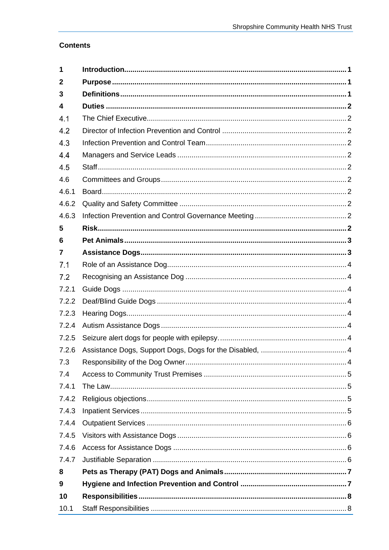# **Contents**

| 1     |  |  |  |  |  |
|-------|--|--|--|--|--|
| 2     |  |  |  |  |  |
| 3     |  |  |  |  |  |
| 4     |  |  |  |  |  |
| 4.1   |  |  |  |  |  |
| 4.2   |  |  |  |  |  |
| 4.3   |  |  |  |  |  |
| 4.4   |  |  |  |  |  |
| 4.5   |  |  |  |  |  |
| 4.6   |  |  |  |  |  |
| 4.6.1 |  |  |  |  |  |
| 4.6.2 |  |  |  |  |  |
| 4.6.3 |  |  |  |  |  |
| 5     |  |  |  |  |  |
| 6     |  |  |  |  |  |
| 7     |  |  |  |  |  |
| 7.1   |  |  |  |  |  |
| 7.2   |  |  |  |  |  |
| 7.2.1 |  |  |  |  |  |
| 7.2.2 |  |  |  |  |  |
| 7.2.3 |  |  |  |  |  |
| 7.2.4 |  |  |  |  |  |
| 7.2.5 |  |  |  |  |  |
| 7.2.6 |  |  |  |  |  |
| 7.3   |  |  |  |  |  |
| 7.4   |  |  |  |  |  |
| 7.4.1 |  |  |  |  |  |
| 7.4.2 |  |  |  |  |  |
| 7.4.3 |  |  |  |  |  |
| 7.4.4 |  |  |  |  |  |
| 7.4.5 |  |  |  |  |  |
| 7.4.6 |  |  |  |  |  |
| 7.4.7 |  |  |  |  |  |
| 8     |  |  |  |  |  |
| 9     |  |  |  |  |  |
| 10    |  |  |  |  |  |
| 10.1  |  |  |  |  |  |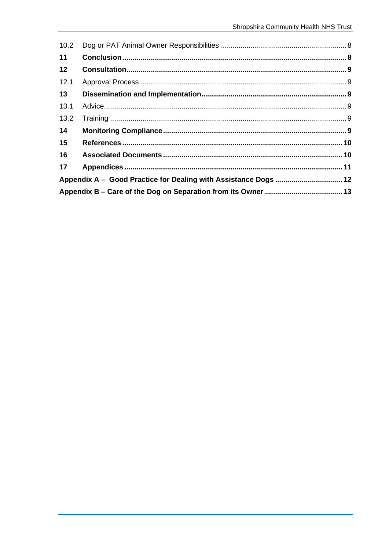| 10.2 |                                                                 |  |
|------|-----------------------------------------------------------------|--|
| 11   |                                                                 |  |
| 12   |                                                                 |  |
| 12.1 |                                                                 |  |
| 13   |                                                                 |  |
| 13.1 |                                                                 |  |
| 13.2 |                                                                 |  |
| 14   |                                                                 |  |
| 15   |                                                                 |  |
| 16   |                                                                 |  |
| 17   |                                                                 |  |
|      | Appendix A - Good Practice for Dealing with Assistance Dogs  12 |  |
|      |                                                                 |  |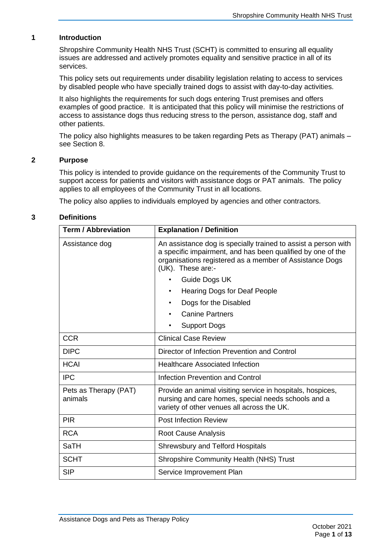# **1 Introduction**

<span id="page-3-0"></span>Shropshire Community Health NHS Trust (SCHT) is committed to ensuring all equality issues are addressed and actively promotes equality and sensitive practice in all of its services.

This policy sets out requirements under disability legislation relating to access to services by disabled people who have specially trained dogs to assist with day-to-day activities.

It also highlights the requirements for such dogs entering Trust premises and offers examples of good practice. It is anticipated that this policy will minimise the restrictions of access to assistance dogs thus reducing stress to the person, assistance dog, staff and other patients.

The policy also highlights measures to be taken regarding Pets as Therapy (PAT) animals – see Section 8.

## **2 Purpose**

<span id="page-3-1"></span>This policy is intended to provide guidance on the requirements of the Community Trust to support access for patients and visitors with assistance dogs or PAT animals. The policy applies to all employees of the Community Trust in all locations.

<span id="page-3-2"></span>The policy also applies to individuals employed by agencies and other contractors.

# **3 Definitions**

| <b>Term / Abbreviation</b>       | <b>Explanation / Definition</b>                                                                                                                                                                               |  |
|----------------------------------|---------------------------------------------------------------------------------------------------------------------------------------------------------------------------------------------------------------|--|
| Assistance dog                   | An assistance dog is specially trained to assist a person with<br>a specific impairment, and has been qualified by one of the<br>organisations registered as a member of Assistance Dogs<br>(UK). These are:- |  |
|                                  | Guide Dogs UK                                                                                                                                                                                                 |  |
|                                  | Hearing Dogs for Deaf People                                                                                                                                                                                  |  |
|                                  | Dogs for the Disabled                                                                                                                                                                                         |  |
|                                  | <b>Canine Partners</b>                                                                                                                                                                                        |  |
|                                  | Support Dogs<br>٠                                                                                                                                                                                             |  |
| <b>CCR</b>                       | <b>Clinical Case Review</b>                                                                                                                                                                                   |  |
| <b>DIPC</b>                      | Director of Infection Prevention and Control                                                                                                                                                                  |  |
| <b>HCAI</b>                      | <b>Healthcare Associated Infection</b>                                                                                                                                                                        |  |
| <b>IPC</b>                       | <b>Infection Prevention and Control</b>                                                                                                                                                                       |  |
| Pets as Therapy (PAT)<br>animals | Provide an animal visiting service in hospitals, hospices,<br>nursing and care homes, special needs schools and a<br>variety of other venues all across the UK.                                               |  |
| <b>PIR</b>                       | <b>Post Infection Review</b>                                                                                                                                                                                  |  |
| <b>RCA</b>                       | Root Cause Analysis                                                                                                                                                                                           |  |
| <b>SaTH</b>                      | <b>Shrewsbury and Telford Hospitals</b>                                                                                                                                                                       |  |
| <b>SCHT</b>                      | <b>Shropshire Community Health (NHS) Trust</b>                                                                                                                                                                |  |
| <b>SIP</b>                       | Service Improvement Plan                                                                                                                                                                                      |  |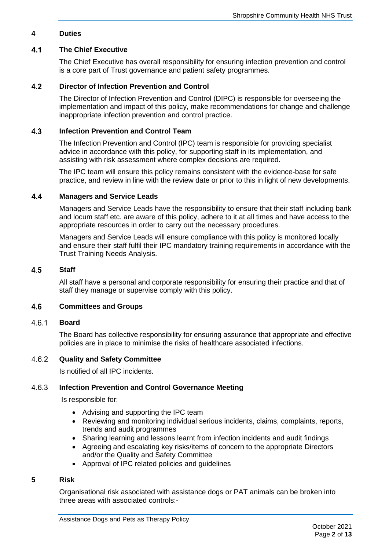# <span id="page-4-0"></span>**4 Duties**

## $4.1$ **The Chief Executive**

<span id="page-4-1"></span>The Chief Executive has overall responsibility for ensuring infection prevention and control is a core part of Trust governance and patient safety programmes.

## **Director of Infection Prevention and Control**  $4.2$

<span id="page-4-2"></span>The Director of Infection Prevention and Control (DIPC) is responsible for overseeing the implementation and impact of this policy, make recommendations for change and challenge inappropriate infection prevention and control practice.

## $4.3$ **Infection Prevention and Control Team**

<span id="page-4-3"></span>The Infection Prevention and Control (IPC) team is responsible for providing specialist advice in accordance with this policy, for supporting staff in its implementation, and assisting with risk assessment where complex decisions are required.

The IPC team will ensure this policy remains consistent with the evidence-base for safe practice, and review in line with the review date or prior to this in light of new developments.

### $4.4$ **Managers and Service Leads**

<span id="page-4-4"></span>Managers and Service Leads have the responsibility to ensure that their staff including bank and locum staff etc. are aware of this policy, adhere to it at all times and have access to the appropriate resources in order to carry out the necessary procedures.

Managers and Service Leads will ensure compliance with this policy is monitored locally and ensure their staff fulfil their IPC mandatory training requirements in accordance with the Trust Training Needs Analysis.

#### $4.5$ **Staff**

<span id="page-4-6"></span><span id="page-4-5"></span>All staff have a personal and corporate responsibility for ensuring their practice and that of staff they manage or supervise comply with this policy.

#### $4.6$ **Committees and Groups**

#### $4.6.1$ **Board**

<span id="page-4-7"></span>The Board has collective responsibility for ensuring assurance that appropriate and effective policies are in place to minimise the risks of healthcare associated infections.

### 4.6.2 **Quality and Safety Committee**

<span id="page-4-9"></span><span id="page-4-8"></span>Is notified of all IPC incidents.

### 4.6.3 **Infection Prevention and Control Governance Meeting**

Is responsible for:

- Advising and supporting the IPC team
- Reviewing and monitoring individual serious incidents, claims, complaints, reports, trends and audit programmes
- Sharing learning and lessons learnt from infection incidents and audit findings
- Agreeing and escalating key risks/items of concern to the appropriate Directors and/or the Quality and Safety Committee
- Approval of IPC related policies and guidelines

# **5 Risk**

<span id="page-4-10"></span>Organisational risk associated with assistance dogs or PAT animals can be broken into three areas with associated controls:-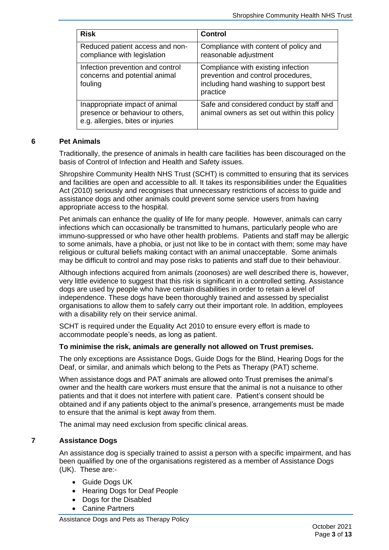| <b>Risk</b>                                                                                             | <b>Control</b>                                                                                                                 |
|---------------------------------------------------------------------------------------------------------|--------------------------------------------------------------------------------------------------------------------------------|
| Reduced patient access and non-<br>compliance with legislation                                          | Compliance with content of policy and<br>reasonable adjustment                                                                 |
| Infection prevention and control<br>concerns and potential animal<br>fouling                            | Compliance with existing infection<br>prevention and control procedures,<br>including hand washing to support best<br>practice |
| Inappropriate impact of animal<br>presence or behaviour to others,<br>e.g. allergies, bites or injuries | Safe and considered conduct by staff and<br>animal owners as set out within this policy                                        |

## **6 Pet Animals**

<span id="page-5-0"></span>Traditionally, the presence of animals in health care facilities has been discouraged on the basis of Control of Infection and Health and Safety issues.

Shropshire Community Health NHS Trust (SCHT) is committed to ensuring that its services and facilities are open and accessible to all. It takes its responsibilities under the Equalities Act (2010) seriously and recognises that unnecessary restrictions of access to guide and assistance dogs and other animals could prevent some service users from having appropriate access to the hospital.

Pet animals can enhance the quality of life for many people. However, animals can carry infections which can occasionally be transmitted to humans, particularly people who are immuno-suppressed or who have other health problems. Patients and staff may be allergic to some animals, have a phobia, or just not like to be in contact with them; some may have religious or cultural beliefs making contact with an animal unacceptable. Some animals may be difficult to control and may pose risks to patients and staff due to their behaviour.

Although infections acquired from animals (zoonoses) are well described there is, however, very little evidence to suggest that this risk is significant in a controlled setting. Assistance dogs are used by people who have certain disabilities in order to retain a level of independence. These dogs have been thoroughly trained and assessed by specialist organisations to allow them to safely carry out their important role. In addition, employees with a disability rely on their service animal.

SCHT is required under the Equality Act 2010 to ensure every effort is made to accommodate people's needs, as long as patient.

# **To minimise the risk, animals are generally not allowed on Trust premises.**

The only exceptions are Assistance Dogs, Guide Dogs for the Blind, Hearing Dogs for the Deaf, or similar, and animals which belong to the Pets as Therapy (PAT) scheme.

When assistance dogs and PAT animals are allowed onto Trust premises the animal's owner and the health care workers must ensure that the animal is not a nuisance to other patients and that it does not interfere with patient care. Patient's consent should be obtained and if any patients object to the animal's presence, arrangements must be made to ensure that the animal is kept away from them.

<span id="page-5-1"></span>The animal may need exclusion from specific clinical areas.

# **7 Assistance Dogs**

An assistance dog is specially trained to assist a person with a specific impairment, and has been qualified by one of the organisations registered as a member of Assistance Dogs (UK). These are:-

- Guide Dogs UK
- Hearing Dogs for Deaf People
- Dogs for the Disabled
- Canine Partners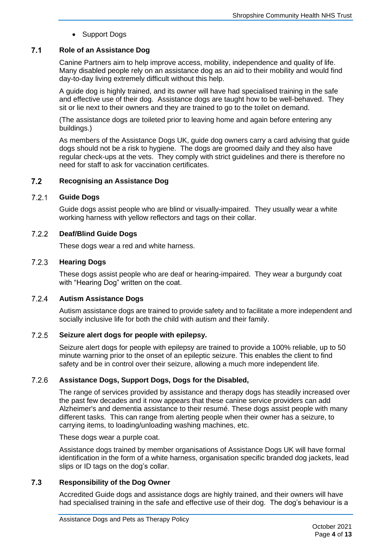• Support Dogs

## $7<sub>1</sub>$ **Role of an Assistance Dog**

<span id="page-6-0"></span>Canine Partners aim to help improve access, mobility, independence and quality of life. Many disabled people rely on an assistance dog as an aid to their mobility and would find day-to-day living extremely difficult without this help.

A guide dog is highly trained, and its owner will have had specialised training in the safe and effective use of their dog. Assistance dogs are taught how to be well-behaved. They sit or lie next to their owners and they are trained to go to the toilet on demand.

(The assistance dogs are toileted prior to leaving home and again before entering any buildings.)

As members of the Assistance Dogs UK, guide dog owners carry a card advising that guide dogs should not be a risk to hygiene. The dogs are groomed daily and they also have regular check-ups at the vets. They comply with strict guidelines and there is therefore no need for staff to ask for vaccination certificates.

### <span id="page-6-1"></span> $7.2$ **Recognising an Assistance Dog**

## $7.2.1$ **Guide Dogs**

<span id="page-6-2"></span>Guide dogs assist people who are blind or visually-impaired. They usually wear a white working harness with yellow reflectors and tags on their collar.

## $7.2.2$ **Deaf/Blind Guide Dogs**

<span id="page-6-4"></span><span id="page-6-3"></span>These dogs wear a red and white harness.

## $7.2.3$ **Hearing Dogs**

These dogs assist people who are deaf or hearing-impaired. They wear a burgundy coat with "Hearing Dog" written on the coat.

## $7.2.4$ **Autism Assistance Dogs**

<span id="page-6-5"></span>Autism assistance dogs are trained to provide safety and to facilitate a more independent and socially inclusive life for both the child with autism and their family.

### $7.2.5$ **Seizure alert dogs for people with epilepsy.**

<span id="page-6-6"></span>Seizure alert dogs for people with epilepsy are trained to provide a 100% reliable, up to 50 minute warning prior to the onset of an epileptic seizure. This enables the client to find safety and be in control over their seizure, allowing a much more independent life.

## $7.2.6$ **Assistance Dogs, Support Dogs, Dogs for the Disabled,**

<span id="page-6-7"></span>The range of services provided by assistance and therapy dogs has steadily increased over the past few decades and it now appears that these canine service providers can add Alzheimer's and dementia assistance to their resumé. These dogs assist people with many different tasks. This can range from alerting people when their owner has a seizure, to carrying items, to loading/unloading washing machines, etc.

These dogs wear a purple coat.

Assistance dogs trained by member organisations of Assistance Dogs UK will have formal identification in the form of a white harness, organisation specific branded dog jackets, lead slips or ID tags on the dog's collar.

### $7.3$ **Responsibility of the Dog Owner**

<span id="page-6-8"></span>Accredited Guide dogs and assistance dogs are highly trained, and their owners will have had specialised training in the safe and effective use of their dog. The dog's behaviour is a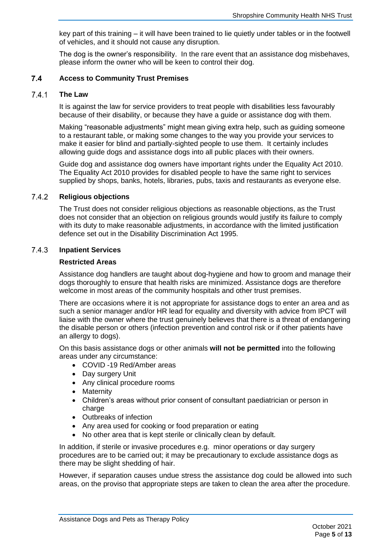key part of this training – it will have been trained to lie quietly under tables or in the footwell of vehicles, and it should not cause any disruption.

<span id="page-7-0"></span>The dog is the owner's responsibility. In the rare event that an assistance dog misbehaves, please inform the owner who will be keen to control their dog.

### $7.4$ **Access to Community Trust Premises**

#### $7.4.1$ **The Law**

<span id="page-7-1"></span>It is against the law for service providers to treat people with disabilities less favourably because of their disability, or because they have a guide or assistance dog with them.

Making "reasonable adjustments" might mean giving extra help, such as guiding someone to a restaurant table, or making some changes to the way you provide your services to make it easier for blind and partially-sighted people to use them. It certainly includes allowing guide dogs and assistance dogs into all public places with their owners.

Guide dog and assistance dog owners have important rights under the Equality Act 2010. The Equality Act 2010 provides for disabled people to have the same right to services supplied by shops, banks, hotels, libraries, pubs, taxis and restaurants as everyone else.

### $7.4.2$ **Religious objections**

<span id="page-7-2"></span>The Trust does not consider religious objections as reasonable objections, as the Trust does not consider that an objection on religious grounds would justify its failure to comply with its duty to make reasonable adjustments, in accordance with the limited justification defence set out in the Disability Discrimination Act 1995.

#### 7.4.3 **Inpatient Services**

## <span id="page-7-3"></span>**Restricted Areas**

Assistance dog handlers are taught about dog-hygiene and how to groom and manage their dogs thoroughly to ensure that health risks are minimized. Assistance dogs are therefore welcome in most areas of the community hospitals and other trust premises.

There are occasions where it is not appropriate for assistance dogs to enter an area and as such a senior manager and/or HR lead for equality and diversity with advice from IPCT will liaise with the owner where the trust genuinely believes that there is a threat of endangering the disable person or others (infection prevention and control risk or if other patients have an allergy to dogs).

On this basis assistance dogs or other animals **will not be permitted** into the following areas under any circumstance:

- COVID -19 Red/Amber areas
- Day surgery Unit
- Any clinical procedure rooms
- Maternity
- Children's areas without prior consent of consultant paediatrician or person in charge
- Outbreaks of infection
- Any area used for cooking or food preparation or eating
- No other area that is kept sterile or clinically clean by default.

In addition, if sterile or invasive procedures e.g. minor operations or day surgery procedures are to be carried out; it may be precautionary to exclude assistance dogs as there may be slight shedding of hair.

However, if separation causes undue stress the assistance dog could be allowed into such areas, on the proviso that appropriate steps are taken to clean the area after the procedure.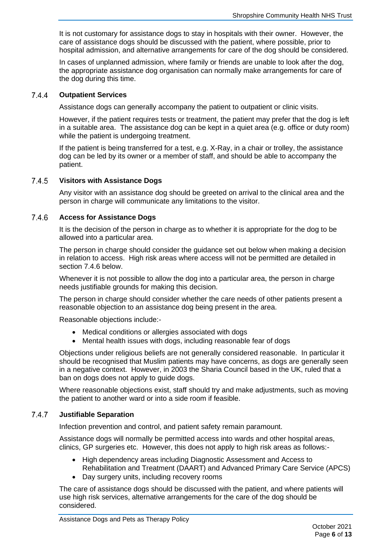It is not customary for assistance dogs to stay in hospitals with their owner. However, the care of assistance dogs should be discussed with the patient, where possible, prior to hospital admission, and alternative arrangements for care of the dog should be considered.

In cases of unplanned admission, where family or friends are unable to look after the dog, the appropriate assistance dog organisation can normally make arrangements for care of the dog during this time.

#### $7.4.4$ **Outpatient Services**

<span id="page-8-0"></span>Assistance dogs can generally accompany the patient to outpatient or clinic visits.

However, if the patient requires tests or treatment, the patient may prefer that the dog is left in a suitable area. The assistance dog can be kept in a quiet area (e.g. office or duty room) while the patient is undergoing treatment.

If the patient is being transferred for a test, e.g. X-Ray, in a chair or trolley, the assistance dog can be led by its owner or a member of staff, and should be able to accompany the patient.

#### $7.4.5$ **Visitors with Assistance Dogs**

<span id="page-8-1"></span>Any visitor with an assistance dog should be greeted on arrival to the clinical area and the person in charge will communicate any limitations to the visitor.

#### 7.4.6 **Access for Assistance Dogs**

<span id="page-8-2"></span>It is the decision of the person in charge as to whether it is appropriate for the dog to be allowed into a particular area.

The person in charge should consider the guidance set out below when making a decision in relation to access. High risk areas where access will not be permitted are detailed in section 7.4.6 below.

Whenever it is not possible to allow the dog into a particular area, the person in charge needs justifiable grounds for making this decision.

The person in charge should consider whether the care needs of other patients present a reasonable objection to an assistance dog being present in the area.

Reasonable objections include:-

- Medical conditions or allergies associated with dogs
- Mental health issues with dogs, including reasonable fear of dogs

Objections under religious beliefs are not generally considered reasonable. In particular it should be recognised that Muslim patients may have concerns, as dogs are generally seen in a negative context. However, in 2003 the Sharia Council based in the UK, ruled that a ban on dogs does not apply to guide dogs.

Where reasonable objections exist, staff should try and make adjustments, such as moving the patient to another ward or into a side room if feasible.

### $7.4.7$ **Justifiable Separation**

<span id="page-8-3"></span>Infection prevention and control, and patient safety remain paramount.

Assistance dogs will normally be permitted access into wards and other hospital areas, clinics, GP surgeries etc. However, this does not apply to high risk areas as follows:-

- High dependency areas including Diagnostic Assessment and Access to Rehabilitation and Treatment (DAART) and Advanced Primary Care Service (APCS)
- Day surgery units, including recovery rooms

The care of assistance dogs should be discussed with the patient, and where patients will use high risk services, alternative arrangements for the care of the dog should be considered.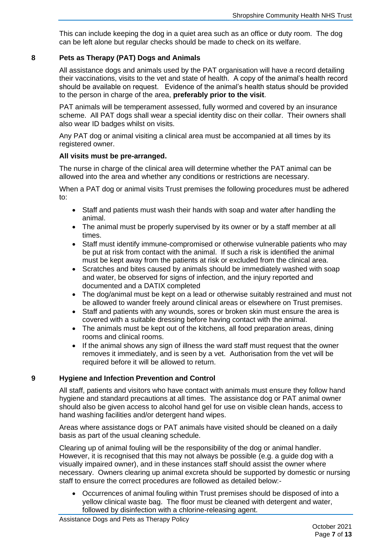This can include keeping the dog in a quiet area such as an office or duty room. The dog can be left alone but regular checks should be made to check on its welfare.

# **8 Pets as Therapy (PAT) Dogs and Animals**

<span id="page-9-0"></span>All assistance dogs and animals used by the PAT organisation will have a record detailing their vaccinations, visits to the vet and state of health. A copy of the animal's health record should be available on request. Evidence of the animal's health status should be provided to the person in charge of the area, **preferably prior to the visit**.

PAT animals will be temperament assessed, fully wormed and covered by an insurance scheme. All PAT dogs shall wear a special identity disc on their collar. Their owners shall also wear ID badges whilst on visits.

Any PAT dog or animal visiting a clinical area must be accompanied at all times by its registered owner.

## **All visits must be pre-arranged.**

The nurse in charge of the clinical area will determine whether the PAT animal can be allowed into the area and whether any conditions or restrictions are necessary.

When a PAT dog or animal visits Trust premises the following procedures must be adhered to:

- Staff and patients must wash their hands with soap and water after handling the animal.
- The animal must be properly supervised by its owner or by a staff member at all times.
- Staff must identify immune-compromised or otherwise vulnerable patients who may be put at risk from contact with the animal. If such a risk is identified the animal must be kept away from the patients at risk or excluded from the clinical area.
- Scratches and bites caused by animals should be immediately washed with soap and water, be observed for signs of infection, and the injury reported and documented and a DATIX completed
- The dog/animal must be kept on a lead or otherwise suitably restrained and must not be allowed to wander freely around clinical areas or elsewhere on Trust premises.
- Staff and patients with any wounds, sores or broken skin must ensure the area is covered with a suitable dressing before having contact with the animal.
- The animals must be kept out of the kitchens, all food preparation areas, dining rooms and clinical rooms.
- If the animal shows any sign of illness the ward staff must request that the owner removes it immediately, and is seen by a vet. Authorisation from the vet will be required before it will be allowed to return.

# **9 Hygiene and Infection Prevention and Control**

<span id="page-9-1"></span>All staff, patients and visitors who have contact with animals must ensure they follow hand hygiene and standard precautions at all times. The assistance dog or PAT animal owner should also be given access to alcohol hand gel for use on visible clean hands, access to hand washing facilities and/or detergent hand wipes.

Areas where assistance dogs or PAT animals have visited should be cleaned on a daily basis as part of the usual cleaning schedule.

Clearing up of animal fouling will be the responsibility of the dog or animal handler. However, it is recognised that this may not always be possible (e.g. a guide dog with a visually impaired owner), and in these instances staff should assist the owner where necessary. Owners clearing up animal excreta should be supported by domestic or nursing staff to ensure the correct procedures are followed as detailed below:-

• Occurrences of animal fouling within Trust premises should be disposed of into a yellow clinical waste bag. The floor must be cleaned with detergent and water, followed by disinfection with a chlorine-releasing agent.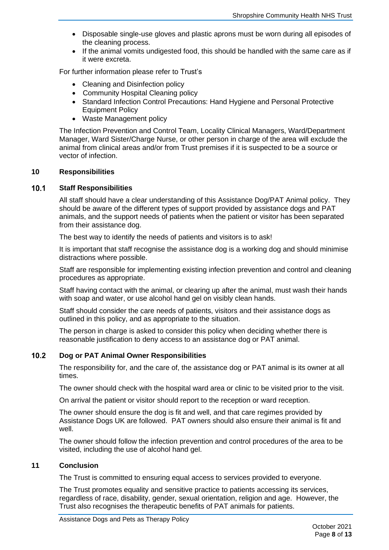- Disposable single-use gloves and plastic aprons must be worn during all episodes of the cleaning process.
- If the animal vomits undigested food, this should be handled with the same care as if it were excreta.

For further information please refer to Trust's

- Cleaning and Disinfection policy
- Community Hospital Cleaning policy
- Standard Infection Control Precautions: Hand Hygiene and Personal Protective Equipment Policy
- Waste Management policy

The Infection Prevention and Control Team, Locality Clinical Managers, Ward/Department Manager, Ward Sister/Charge Nurse, or other person in charge of the area will exclude the animal from clinical areas and/or from Trust premises if it is suspected to be a source or vector of infection.

## <span id="page-10-0"></span>**10 Responsibilities**

#### $10.1$ **Staff Responsibilities**

<span id="page-10-1"></span>All staff should have a clear understanding of this Assistance Dog/PAT Animal policy. They should be aware of the different types of support provided by assistance dogs and PAT animals, and the support needs of patients when the patient or visitor has been separated from their assistance dog.

The best way to identify the needs of patients and visitors is to ask!

It is important that staff recognise the assistance dog is a working dog and should minimise distractions where possible.

Staff are responsible for implementing existing infection prevention and control and cleaning procedures as appropriate.

Staff having contact with the animal, or clearing up after the animal, must wash their hands with soap and water, or use alcohol hand gel on visibly clean hands.

Staff should consider the care needs of patients, visitors and their assistance dogs as outlined in this policy, and as appropriate to the situation.

The person in charge is asked to consider this policy when deciding whether there is reasonable justification to deny access to an assistance dog or PAT animal.

## $10.2$ **Dog or PAT Animal Owner Responsibilities**

<span id="page-10-2"></span>The responsibility for, and the care of, the assistance dog or PAT animal is its owner at all times.

The owner should check with the hospital ward area or clinic to be visited prior to the visit.

On arrival the patient or visitor should report to the reception or ward reception.

The owner should ensure the dog is fit and well, and that care regimes provided by Assistance Dogs UK are followed. PAT owners should also ensure their animal is fit and well.

The owner should follow the infection prevention and control procedures of the area to be visited, including the use of alcohol hand gel.

## **11 Conclusion**

<span id="page-10-3"></span>The Trust is committed to ensuring equal access to services provided to everyone.

The Trust promotes equality and sensitive practice to patients accessing its services, regardless of race, disability, gender, sexual orientation, religion and age. However, the Trust also recognises the therapeutic benefits of PAT animals for patients.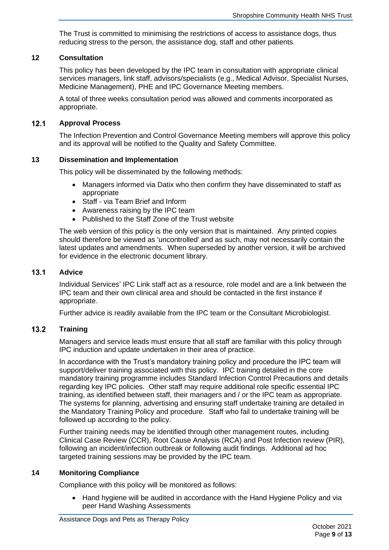The Trust is committed to minimising the restrictions of access to assistance dogs, thus reducing stress to the person, the assistance dog, staff and other patients.

## **12 Consultation**

<span id="page-11-0"></span>This policy has been developed by the IPC team in consultation with appropriate clinical services managers, link staff, advisors/specialists (e.g., Medical Advisor, Specialist Nurses, Medicine Management), PHE and IPC Governance Meeting members.

A total of three weeks consultation period was allowed and comments incorporated as appropriate.

#### $12.1$ **Approval Process**

<span id="page-11-1"></span>The Infection Prevention and Control Governance Meeting members will approve this policy and its approval will be notified to the Quality and Safety Committee.

## **13 Dissemination and Implementation**

<span id="page-11-2"></span>This policy will be disseminated by the following methods:

- Managers informed via Datix who then confirm they have disseminated to staff as appropriate
- Staff via Team Brief and Inform
- Awareness raising by the IPC team
- Published to the Staff Zone of the Trust website

The web version of this policy is the only version that is maintained. Any printed copies should therefore be viewed as 'uncontrolled' and as such, may not necessarily contain the latest updates and amendments. When superseded by another version, it will be archived for evidence in the electronic document library.

## $13.1$ **Advice**

<span id="page-11-3"></span>Individual Services' IPC Link staff act as a resource, role model and are a link between the IPC team and their own clinical area and should be contacted in the first instance if appropriate.

<span id="page-11-4"></span>Further advice is readily available from the IPC team or the Consultant Microbiologist.

### $13.2$ **Training**

Managers and service leads must ensure that all staff are familiar with this policy through IPC induction and update undertaken in their area of practice.

In accordance with the Trust's mandatory training policy and procedure the IPC team will support/deliver training associated with this policy. IPC training detailed in the core mandatory training programme includes Standard Infection Control Precautions and details regarding key IPC policies. Other staff may require additional role specific essential IPC training, as identified between staff, their managers and / or the IPC team as appropriate. The systems for planning, advertising and ensuring staff undertake training are detailed in the Mandatory Training Policy and procedure. Staff who fail to undertake training will be followed up according to the policy.

Further training needs may be identified through other management routes, including Clinical Case Review (CCR), Root Cause Analysis (RCA) and Post Infection review (PIR), following an incident/infection outbreak or following audit findings. Additional ad hoc targeted training sessions may be provided by the IPC team.

## **14 Monitoring Compliance**

<span id="page-11-5"></span>Compliance with this policy will be monitored as follows:

• Hand hygiene will be audited in accordance with the Hand Hygiene Policy and via peer Hand Washing Assessments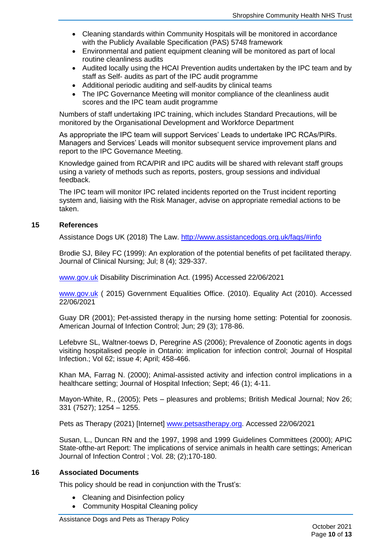- Cleaning standards within Community Hospitals will be monitored in accordance with the Publicly Available Specification (PAS) 5748 framework
- Environmental and patient equipment cleaning will be monitored as part of local routine cleanliness audits
- Audited locally using the HCAI Prevention audits undertaken by the IPC team and by staff as Self- audits as part of the IPC audit programme
- Additional periodic auditing and self-audits by clinical teams
- The IPC Governance Meeting will monitor compliance of the cleanliness audit scores and the IPC team audit programme

Numbers of staff undertaking IPC training, which includes Standard Precautions, will be monitored by the Organisational Development and Workforce Department

As appropriate the IPC team will support Services' Leads to undertake IPC RCAs/PIRs. Managers and Services' Leads will monitor subsequent service improvement plans and report to the IPC Governance Meeting.

Knowledge gained from RCA/PIR and IPC audits will be shared with relevant staff groups using a variety of methods such as reports, posters, group sessions and individual feedback.

The IPC team will monitor IPC related incidents reported on the Trust incident reporting system and, liaising with the Risk Manager, advise on appropriate remedial actions to be taken.

## **15 References**

<span id="page-12-0"></span>Assistance Dogs UK (2018) The Law. [http://www.assistancedogs.org.uk/faqs/#info](http://www.assistancedogs.org.uk/faqs/#inf)

Brodie SJ, Biley FC (1999): An exploration of the potential benefits of pet facilitated therapy. Journal of Clinical Nursing; Jul; 8 (4); 329-337.

[www.gov.uk](http://www.gov.uk/) Disability Discrimination Act. (1995) Accessed 22/06/2021

[www.gov.uk](http://www.gov.uk/) (2015) Government Equalities Office. (2010). Equality Act (2010). Accessed 22/06/2021

Guay DR (2001); Pet-assisted therapy in the nursing home setting: Potential for zoonosis. American Journal of Infection Control; Jun; 29 (3); 178-86.

Lefebvre SL, Waltner-toews D, Peregrine AS (2006); Prevalence of Zoonotic agents in dogs visiting hospitalised people in Ontario: implication for infection control; Journal of Hospital Infection.; Vol 62; issue 4; April; 458-466.

Khan MA, Farrag N. (2000); Animal-assisted activity and infection control implications in a healthcare setting; Journal of Hospital Infection; Sept; 46 (1); 4-11.

Mayon-White, R., (2005); Pets – pleasures and problems; British Medical Journal; Nov 26; 331 (7527); 1254 – 1255.

Pets as Therapy (2021) [Internet] [www.petsastherapy.org.](http://www.petsastherapy.org/) Accessed 22/06/2021

Susan, L., Duncan RN and the 1997, 1998 and 1999 Guidelines Committees (2000); APIC State-ofthe-art Report: The implications of service animals in health care settings; American Journal of Infection Control ; Vol. 28; (2);170-180.

## **16 Associated Documents**

<span id="page-12-1"></span>This policy should be read in conjunction with the Trust's:

- Cleaning and Disinfection policy
- Community Hospital Cleaning policy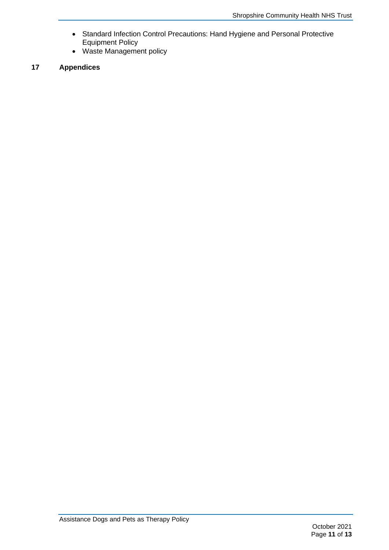- Standard Infection Control Precautions: Hand Hygiene and Personal Protective Equipment Policy
- <span id="page-13-0"></span>• Waste Management policy

# **17 Appendices**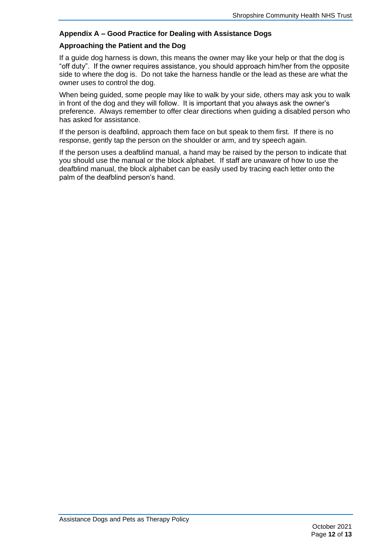# <span id="page-14-0"></span>**Appendix A – Good Practice for Dealing with Assistance Dogs**

## **Approaching the Patient and the Dog**

If a guide dog harness is down, this means the owner may like your help or that the dog is "off duty". If the owner requires assistance, you should approach him/her from the opposite side to where the dog is. Do not take the harness handle or the lead as these are what the owner uses to control the dog.

When being guided, some people may like to walk by your side, others may ask you to walk in front of the dog and they will follow. It is important that you always ask the owner's preference. Always remember to offer clear directions when guiding a disabled person who has asked for assistance.

If the person is deafblind, approach them face on but speak to them first. If there is no response, gently tap the person on the shoulder or arm, and try speech again.

If the person uses a deafblind manual, a hand may be raised by the person to indicate that you should use the manual or the block alphabet. If staff are unaware of how to use the deafblind manual, the block alphabet can be easily used by tracing each letter onto the palm of the deafblind person's hand.